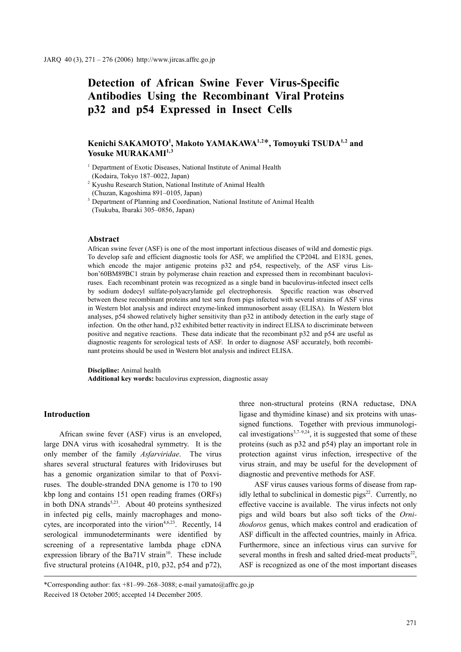# **Detection of African Swine Fever Virus-Specific Antibodies Using the Recombinant Viral Proteins p32 and p54 Expressed in Insect Cells**

# **Kenichi SAKAMOTO1 , Makoto YAMAKAWA1,2**\***, Tomoyuki TSUDA1,2 and**  Yosuke MURAKAMI<sup>1,3</sup>

<sup>1</sup> Department of Exotic Diseases, National Institute of Animal Health (Kodaira, Tokyo 187–0022, Japan)

<sup>2</sup> Kyushu Research Station, National Institute of Animal Health (Chuzan, Kagoshima 891–0105, Japan)

<sup>3</sup> Department of Planning and Coordination, National Institute of Animal Health (Tsukuba, Ibaraki 305–0856, Japan)

#### **Abstract**

African swine fever (ASF) is one of the most important infectious diseases of wild and domestic pigs. To develop safe and efficient diagnostic tools for ASF, we amplified the CP204L and E183L genes, which encode the major antigenic proteins p32 and p54, respectively, of the ASF virus Lisbon'60BM89BC1 strain by polymerase chain reaction and expressed them in recombinant baculoviruses. Each recombinant protein was recognized as a single band in baculovirus-infected insect cells by sodium dodecyl sulfate-polyacrylamide gel electrophoresis. Specific reaction was observed between these recombinant proteins and test sera from pigs infected with several strains of ASF virus in Western blot analysis and indirect enzyme-linked immunosorbent assay (ELISA). In Western blot analyses, p54 showed relatively higher sensitivity than p32 in antibody detection in the early stage of infection. On the other hand, p32 exhibited better reactivity in indirect ELISA to discriminate between positive and negative reactions. These data indicate that the recombinant p32 and p54 are useful as diagnostic reagents for serological tests of ASF. In order to diagnose ASF accurately, both recombinant proteins should be used in Western blot analysis and indirect ELISA.

**Discipline:** Animal health **Additional key words:** baculovirus expression, diagnostic assay

## **Introduction**

African swine fever (ASF) virus is an enveloped, large DNA virus with icosahedral symmetry. It is the only member of the family *Asfarviridae*. The virus shares several structural features with Iridoviruses but has a genomic organization similar to that of Poxviruses. The double-stranded DNA genome is 170 to 190 kbp long and contains 151 open reading frames (ORFs) in both DNA strands<sup>5,23</sup>. About 40 proteins synthesized in infected pig cells, mainly macrophages and monocytes, are incorporated into the virion<sup>4,6,23</sup>. Recently, 14 serological immunodeterminants were identified by screening of a representative lambda phage cDNA expression library of the Ba71V strain<sup>10</sup>. These include five structural proteins (A104R, p10, p32, p54 and p72),

ASF virus causes various forms of disease from rapidly lethal to subclinical in domestic  $pigs^{22}$ . Currently, no effective vaccine is available. The virus infects not only pigs and wild boars but also soft ticks of the *Ornithodoros* genus, which makes control and eradication of ASF difficult in the affected countries, mainly in Africa. Furthermore, since an infectious virus can survive for several months in fresh and salted dried-meat products $^{22}$ , ASF is recognized as one of the most important diseases

three non-structural proteins (RNA reductase, DNA ligase and thymidine kinase) and six proteins with unassigned functions. Together with previous immunological investigations<sup>3,7–9,24</sup>, it is suggested that some of these proteins (such as p32 and p54) play an important role in protection against virus infection, irrespective of the virus strain, and may be useful for the development of diagnostic and preventive methods for ASF.

<sup>\*</sup>Corresponding author: fax +81–99–268–3088; e-mail yamato@affrc.go.jp Received 18 October 2005; accepted 14 December 2005.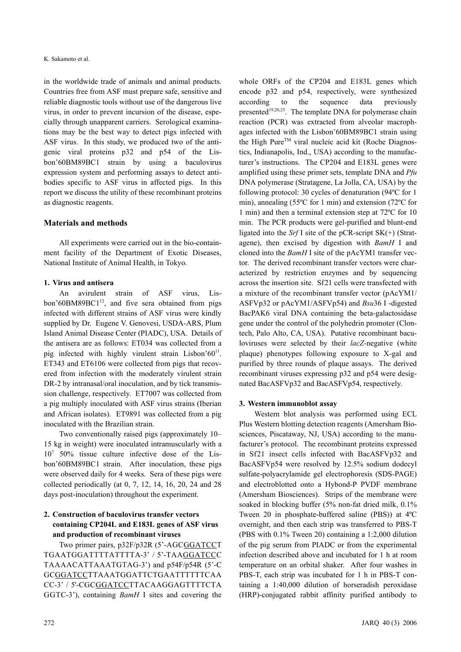in the worldwide trade of animals and animal products. Countries free from ASF must prepare safe, sensitive and reliable diagnostic tools without use of the dangerous live virus, in order to prevent incursion of the disease, especially through unapparent carriers. Serological examinations may be the best way to detect pigs infected with ASF virus. In this study, we produced two of the antigenic viral proteins p32 and p54 of the Lisbon'60BM89BC1 strain by using a baculovirus expression system and performing assays to detect antibodies specific to ASF virus in affected pigs. In this report we discuss the utility of these recombinant proteins as diagnostic reagents.

## **Materials and methods**

All experiments were carried out in the bio-containment facility of the Department of Exotic Diseases, National Institute of Animal Health, in Tokyo.

## **1. Virus and antisera**

An avirulent strain of ASF virus, Lisbon'60BM89BC1 $12$ , and five sera obtained from pigs infected with different strains of ASF virus were kindly supplied by Dr. Eugene V. Genovesi, USDA-ARS, Plum Island Animal Disease Center (PIADC), USA. Details of the antisera are as follows: ET034 was collected from a pig infected with highly virulent strain Lisbon' $60^{11}$ . ET343 and ET6106 were collected from pigs that recovered from infection with the moderately virulent strain DR-2 by intranasal/oral inoculation, and by tick transmission challenge, respectively. ET7007 was collected from a pig multiply inoculated with ASF virus strains (Iberian and African isolates). ET9891 was collected from a pig inoculated with the Brazilian strain.

Two conventionally raised pigs (approximately 10– 15 kg in weight) were inoculated intramuscularly with a 107 50% tissue culture infective dose of the Lisbon'60BM89BC1 strain. After inoculation, these pigs were observed daily for 4 weeks. Sera of these pigs were collected periodically (at 0, 7, 12, 14, 16, 20, 24 and 28 days post-inoculation) throughout the experiment.

# **2. Construction of baculovirus transfer vectors containing CP204L and E183L genes of ASF virus and production of recombinant viruses**

Two primer pairs, p32F/p32R (5'-AGCGGATCCT TGAATGGATTTTATTTTA-3' / 5'-TAAGGATCCC TAAAACATTAAATGTAG-3') and p54F/p54R (5'-C GCGGATCCTTAAATGGATTCTGAATTTTTTCAA CC-3' / 5'-CGCGGATCCTTACAAGGAGTTTTCTA GGTC-3'), containing *BamH* I sites and covering the whole ORFs of the CP204 and E183L genes which encode p32 and p54, respectively, were synthesized according to the sequence data previously presented<sup>19,20,23</sup>. The template DNA for polymerase chain reaction (PCR) was extracted from alveolar macrophages infected with the Lisbon'60BM89BC1 strain using the High Pure<sup>TM</sup> viral nucleic acid kit (Roche Diagnostics, Indianapolis, Ind., USA) according to the manufacturer's instructions. The CP204 and E183L genes were amplified using these primer sets, template DNA and *Pfu* DNA polymerase (Stratagene, La Jolla, CA, USA) by the following protocol: 30 cycles of denaturation (94ºC for 1 min), annealing (55ºC for 1 min) and extension (72ºC for 1 min) and then a terminal extension step at 72ºC for 10 min. The PCR products were gel-purified and blunt-end ligated into the *Srf* I site of the pCR-script SK(+) (Stratagene), then excised by digestion with *BamH* I and cloned into the *BamH* I site of the pAcYM1 transfer vector. The derived recombinant transfer vectors were characterized by restriction enzymes and by sequencing across the insertion site. Sf21 cells were transfected with a mixture of the recombinant transfer vector (pAcYM1/ ASFVp32 or pAcYM1/ASFVp54) and *Bsu*36 I -digested BacPAK6 viral DNA containing the beta-galactosidase gene under the control of the polyhedrin promoter (Clontech, Palo Alto, CA, USA). Putative recombinant baculoviruses were selected by their *lacZ*-negative (white plaque) phenotypes following exposure to X-gal and purified by three rounds of plaque assays. The derived recombinant viruses expressing p32 and p54 were designated BacASFVp32 and BacASFVp54, respectively.

## **3. Western immunoblot assay**

Western blot analysis was performed using ECL Plus Western blotting detection reagents (Amersham Biosciences, Piscataway, NJ, USA) according to the manufacturer's protocol. The recombinant proteins expressed in Sf21 insect cells infected with BacASFVp32 and BacASFVp54 were resolved by 12.5% sodium dodecyl sulfate-polyacrylamide gel electrophoresis (SDS-PAGE) and electroblotted onto a Hybond-P PVDF membrane (Amersham Biosciences). Strips of the membrane were soaked in blocking buffer (5% non-fat dried milk, 0.1% Tween 20 in phosphate-buffered saline (PBS)) at 4ºC overnight, and then each strip was transferred to PBS-T (PBS with 0.1% Tween 20) containing a 1:2,000 dilution of the pig serum from PIADC or from the experimental infection described above and incubated for 1 h at room temperature on an orbital shaker. After four washes in PBS-T, each strip was incubated for 1 h in PBS-T containing a 1:40,000 dilution of horseradish peroxidase (HRP)-conjugated rabbit affinity purified antibody to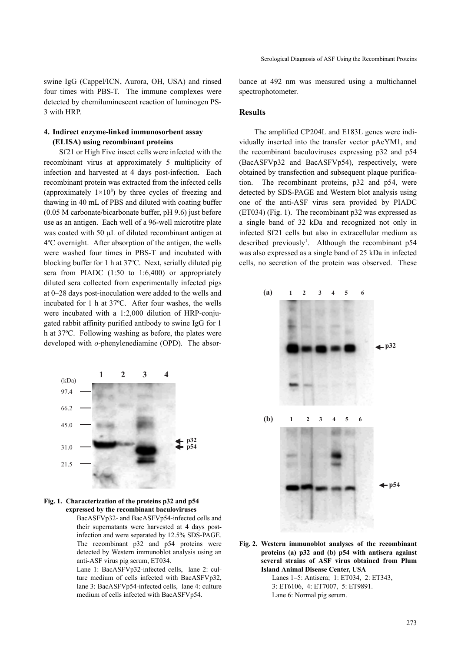swine IgG (Cappel/ICN, Aurora, OH, USA) and rinsed four times with PBS-T. The immune complexes were detected by chemiluminescent reaction of luminogen PS-3 with HRP.

## **4. Indirect enzyme-linked immunosorbent assay (ELISA) using recombinant proteins**

Sf21 or High Five insect cells were infected with the recombinant virus at approximately 5 multiplicity of infection and harvested at 4 days post-infection. Each recombinant protein was extracted from the infected cells (approximately  $1 \times 10^8$ ) by three cycles of freezing and thawing in 40 mL of PBS and diluted with coating buffer (0.05 M carbonate/bicarbonate buffer, pH 9.6) just before use as an antigen. Each well of a 96-well microtitre plate was coated with 50 μL of diluted recombinant antigen at 4ºC overnight. After absorption of the antigen, the wells were washed four times in PBS-T and incubated with blocking buffer for 1 h at 37ºC. Next, serially diluted pig sera from PIADC (1:50 to 1:6,400) or appropriately diluted sera collected from experimentally infected pigs at 0–28 days post-inoculation were added to the wells and incubated for 1 h at 37ºC. After four washes, the wells were incubated with a 1:2,000 dilution of HRP-conjugated rabbit affinity purified antibody to swine IgG for 1 h at 37ºC. Following washing as before, the plates were developed with *o*-phenylenediamine (OPD). The absor-





BacASFVp32- and BacASFVp54-infected cells and their supernatants were harvested at 4 days postinfection and were separated by 12.5% SDS-PAGE. The recombinant p32 and p54 proteins were detected by Western immunoblot analysis using an anti-ASF virus pig serum, ET034.

Lane 1: BacASFVp32-infected cells, lane 2: culture medium of cells infected with BacASFVp32, lane 3: BacASFVp54-infected cells, lane 4: culture medium of cells infected with BacASFVp54.

bance at 492 nm was measured using a multichannel spectrophotometer.

#### **Results**

The amplified CP204L and E183L genes were individually inserted into the transfer vector pAcYM1, and the recombinant baculoviruses expressing p32 and p54 (BacASFVp32 and BacASFVp54), respectively, were obtained by transfection and subsequent plaque purification. The recombinant proteins, p32 and p54, were detected by SDS-PAGE and Western blot analysis using one of the anti-ASF virus sera provided by PIADC (ET034) (Fig. 1). The recombinant p32 was expressed as a single band of 32 kDa and recognized not only in infected Sf21 cells but also in extracellular medium as described previously<sup>1</sup>. Although the recombinant p54 was also expressed as a single band of 25 kDa in infected cells, no secretion of the protein was observed. These



**Fig. 2. Western immunoblot analyses of the recombinant proteins (a) p32 and (b) p54 with antisera against several strains of ASF virus obtained from Plum Island Animal Disease Center, USA**

> Lanes 1–5: Antisera; 1: ET034, 2: ET343, 3: ET6106, 4: ET7007, 5: ET9891. Lane 6: Normal pig serum.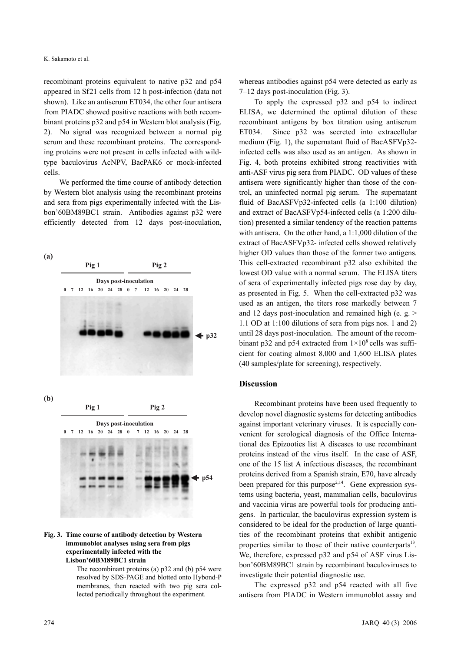recombinant proteins equivalent to native p32 and p54 appeared in Sf21 cells from 12 h post-infection (data not shown). Like an antiserum ET034, the other four antisera from PIADC showed positive reactions with both recombinant proteins p32 and p54 in Western blot analysis (Fig. 2). No signal was recognized between a normal pig serum and these recombinant proteins. The corresponding proteins were not present in cells infected with wildtype baculovirus AcNPV, BacPAK6 or mock-infected cells.

We performed the time course of antibody detection by Western blot analysis using the recombinant proteins and sera from pigs experimentally infected with the Lisbon'60BM89BC1 strain. Antibodies against p32 were efficiently detected from 12 days post-inoculation,



#### **Fig. 3. Time course of antibody detection by Western immunoblot analyses using sera from pigs experimentally infected with the Lisbon'60BM89BC1 strain**

The recombinant proteins (a) p32 and (b) p54 were resolved by SDS-PAGE and blotted onto Hybond-P membranes, then reacted with two pig sera collected periodically throughout the experiment.

whereas antibodies against p54 were detected as early as 7–12 days post-inoculation (Fig. 3).

To apply the expressed p32 and p54 to indirect ELISA, we determined the optimal dilution of these recombinant antigens by box titration using antiserum ET034. Since p32 was secreted into extracellular medium (Fig. 1), the supernatant fluid of BacASFVp32 infected cells was also used as an antigen. As shown in Fig. 4, both proteins exhibited strong reactivities with anti-ASF virus pig sera from PIADC. OD values of these antisera were significantly higher than those of the control, an uninfected normal pig serum. The supernatant fluid of BacASFVp32-infected cells (a 1:100 dilution) and extract of BacASFVp54-infected cells (a 1:200 dilution) presented a similar tendency of the reaction patterns with antisera. On the other hand, a 1:1,000 dilution of the extract of BacASFVp32- infected cells showed relatively higher OD values than those of the former two antigens. This cell-extracted recombinant p32 also exhibited the lowest OD value with a normal serum. The ELISA titers of sera of experimentally infected pigs rose day by day, as presented in Fig. 5. When the cell-extracted p32 was used as an antigen, the titers rose markedly between 7 and 12 days post-inoculation and remained high (e. g.  $>$ 1.1 OD at 1:100 dilutions of sera from pigs nos. 1 and 2) until 28 days post-inoculation. The amount of the recombinant p32 and p54 extracted from  $1 \times 10^8$  cells was sufficient for coating almost 8,000 and 1,600 ELISA plates (40 samples/plate for screening), respectively.

### **Discussion**

Recombinant proteins have been used frequently to develop novel diagnostic systems for detecting antibodies against important veterinary viruses. It is especially convenient for serological diagnosis of the Office International des Epizooties list A diseases to use recombinant proteins instead of the virus itself. In the case of ASF, one of the 15 list A infectious diseases, the recombinant proteins derived from a Spanish strain, E70, have already been prepared for this purpose<sup> $2,14$ </sup>. Gene expression systems using bacteria, yeast, mammalian cells, baculovirus and vaccinia virus are powerful tools for producing antigens. In particular, the baculovirus expression system is considered to be ideal for the production of large quantities of the recombinant proteins that exhibit antigenic properties similar to those of their native counterparts<sup>13</sup>. We, therefore, expressed p32 and p54 of ASF virus Lisbon'60BM89BC1 strain by recombinant baculoviruses to investigate their potential diagnostic use.

The expressed p32 and p54 reacted with all five antisera from PIADC in Western immunoblot assay and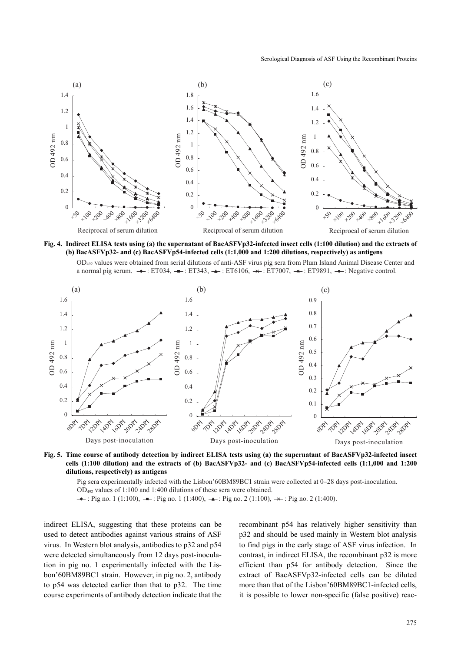#### Serological Diagnosis of ASF Using the Recombinant Proteins







**Fig. 5. Time course of antibody detection by indirect ELISA tests using (a) the supernatant of BacASFVp32-infected insect cells (1:100 dilution) and the extracts of (b) BacASFVp32- and (c) BacASFVp54-infected cells (1:1,000 and 1:200 dilutions, respectively) as antigens**

Pig sera experimentally infected with the Lisbon'60BM89BC1 strain were collected at 0–28 days post-inoculation. OD492 values of 1:100 and 1:400 dilutions of these sera were obtained.

 $\rightarrow$ : Pig no. 1 (1:100),  $\rightarrow$ : Pig no. 1 (1:400),  $\rightarrow$ : Pig no. 2 (1:100),  $\rightarrow$ : Pig no. 2 (1:400).

indirect ELISA, suggesting that these proteins can be used to detect antibodies against various strains of ASF virus. In Western blot analysis, antibodies to p32 and p54 were detected simultaneously from 12 days post-inoculation in pig no. 1 experimentally infected with the Lisbon'60BM89BC1 strain. However, in pig no. 2, antibody to p54 was detected earlier than that to p32. The time course experiments of antibody detection indicate that the recombinant p54 has relatively higher sensitivity than p32 and should be used mainly in Western blot analysis to find pigs in the early stage of ASF virus infection. In contrast, in indirect ELISA, the recombinant p32 is more efficient than p54 for antibody detection. Since the extract of BacASFVp32-infected cells can be diluted more than that of the Lisbon'60BM89BC1-infected cells, it is possible to lower non-specific (false positive) reac-